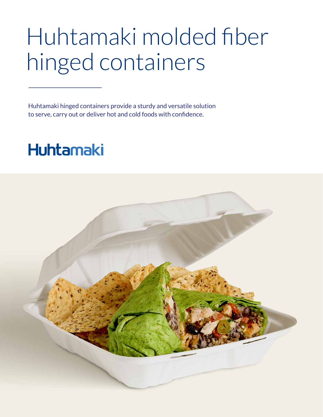## Huhtamaki molded fiber hinged containers

Huhtamaki hinged containers provide a sturdy and versatile solution to serve, carry out or deliver hot and cold foods with confidence.

## **Huhtamaki**